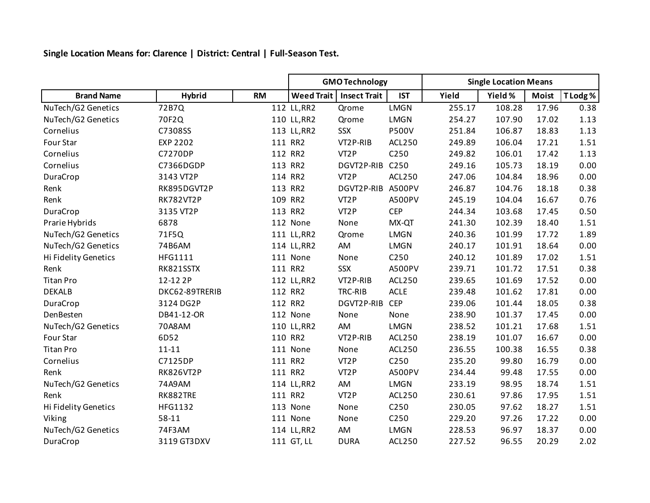**Single Location Means for: Clarence | District: Central | Full-Season Test.**

|                      |                  |           | <b>GMO Technology</b> |                     |                  | <b>Single Location Means</b> |         |              |          |
|----------------------|------------------|-----------|-----------------------|---------------------|------------------|------------------------------|---------|--------------|----------|
| <b>Brand Name</b>    | <b>Hybrid</b>    | <b>RM</b> | <b>Weed Trait</b>     | <b>Insect Trait</b> | <b>IST</b>       | Yield                        | Yield % | <b>Moist</b> | T Lodg % |
| NuTech/G2 Genetics   | 72B7Q            |           | 112 LL, RR2           | Qrome               | <b>LMGN</b>      | 255.17                       | 108.28  | 17.96        | 0.38     |
| NuTech/G2 Genetics   | 70F2Q            |           | 110 LL, RR2           | Qrome               | <b>LMGN</b>      | 254.27                       | 107.90  | 17.02        | 1.13     |
| Cornelius            | C7308SS          |           | 113 LL, RR2           | SSX                 | <b>P500V</b>     | 251.84                       | 106.87  | 18.83        | 1.13     |
| Four Star            | <b>EXP 2202</b>  |           | 111 RR2               | VT2P-RIB            | <b>ACL250</b>    | 249.89                       | 106.04  | 17.21        | 1.51     |
| Cornelius            | C7270DP          |           | 112 RR2               | VT <sub>2</sub> P   | C250             | 249.82                       | 106.01  | 17.42        | 1.13     |
| Cornelius            | C7366DGDP        |           | 113 RR2               | DGVT2P-RIB          | C250             | 249.16                       | 105.73  | 18.19        | 0.00     |
| DuraCrop             | 3143 VT2P        |           | 114 RR2               | VT <sub>2</sub> P   | <b>ACL250</b>    | 247.06                       | 104.84  | 18.96        | 0.00     |
| Renk                 | RK895DGVT2P      |           | 113 RR2               | DGVT2P-RIB A500PV   |                  | 246.87                       | 104.76  | 18.18        | 0.38     |
| Renk                 | <b>RK782VT2P</b> |           | 109 RR2               | VT <sub>2</sub> P   | A500PV           | 245.19                       | 104.04  | 16.67        | 0.76     |
| DuraCrop             | 3135 VT2P        |           | 113 RR2               | VT <sub>2</sub> P   | <b>CEP</b>       | 244.34                       | 103.68  | 17.45        | 0.50     |
| Prarie Hybrids       | 6878             |           | 112 None              | None                | MX-QT            | 241.30                       | 102.39  | 18.40        | 1.51     |
| NuTech/G2 Genetics   | 71F5Q            |           | 111 LL, RR2           | Qrome               | <b>LMGN</b>      | 240.36                       | 101.99  | 17.72        | 1.89     |
| NuTech/G2 Genetics   | 74B6AM           |           | 114 LL, RR2           | AM                  | <b>LMGN</b>      | 240.17                       | 101.91  | 18.64        | 0.00     |
| Hi Fidelity Genetics | HFG1111          |           | 111 None              | None                | C <sub>250</sub> | 240.12                       | 101.89  | 17.02        | 1.51     |
| Renk                 | RK821SSTX        |           | 111 RR2               | SSX                 | A500PV           | 239.71                       | 101.72  | 17.51        | 0.38     |
| <b>Titan Pro</b>     | 12-12 2P         |           | 112 LL, RR2           | VT2P-RIB            | ACL250           | 239.65                       | 101.69  | 17.52        | 0.00     |
| <b>DEKALB</b>        | DKC62-89TRERIB   |           | 112 RR2               | TRC-RIB             | ACLE             | 239.48                       | 101.62  | 17.81        | 0.00     |
| DuraCrop             | 3124 DG2P        |           | 112 RR2               | DGVT2P-RIB          | <b>CEP</b>       | 239.06                       | 101.44  | 18.05        | 0.38     |
| DenBesten            | DB41-12-OR       |           | 112 None              | None                | None             | 238.90                       | 101.37  | 17.45        | 0.00     |
| NuTech/G2 Genetics   | 70A8AM           |           | 110 LL, RR2           | AM                  | <b>LMGN</b>      | 238.52                       | 101.21  | 17.68        | 1.51     |
| Four Star            | 6D52             |           | 110 RR2               | VT2P-RIB            | <b>ACL250</b>    | 238.19                       | 101.07  | 16.67        | 0.00     |
| <b>Titan Pro</b>     | $11 - 11$        |           | 111 None              | None                | <b>ACL250</b>    | 236.55                       | 100.38  | 16.55        | 0.38     |
| Cornelius            | C7125DP          |           | 111 RR2               | VT <sub>2</sub> P   | C250             | 235.20                       | 99.80   | 16.79        | 0.00     |
| Renk                 | <b>RK826VT2P</b> |           | 111 RR2               | VT <sub>2</sub> P   | A500PV           | 234.44                       | 99.48   | 17.55        | 0.00     |
| NuTech/G2 Genetics   | 74A9AM           |           | 114 LL, RR2           | AM                  | <b>LMGN</b>      | 233.19                       | 98.95   | 18.74        | 1.51     |
| Renk                 | RK882TRE         |           | 111 RR2               | VT <sub>2</sub> P   | <b>ACL250</b>    | 230.61                       | 97.86   | 17.95        | 1.51     |
| Hi Fidelity Genetics | <b>HFG1132</b>   |           | 113 None              | None                | C250             | 230.05                       | 97.62   | 18.27        | 1.51     |
| Viking               | 58-11            |           | 111 None              | None                | C250             | 229.20                       | 97.26   | 17.22        | 0.00     |
| NuTech/G2 Genetics   | 74F3AM           |           | 114 LL, RR2           | AM                  | <b>LMGN</b>      | 228.53                       | 96.97   | 18.37        | 0.00     |
| DuraCrop             | 3119 GT3DXV      |           | 111 GT, LL            | <b>DURA</b>         | <b>ACL250</b>    | 227.52                       | 96.55   | 20.29        | 2.02     |